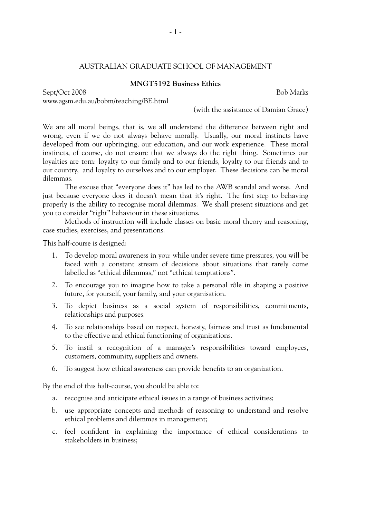## AUSTRALIAN GRADUATE SCHOOL OF MANAGEMENT

#### **MNGT5192 Business Ethics**

Sept/Oct 2008 Bob Marks

www.agsm.edu.au/bobm/teaching/BE.html

(with the assistance of Damian Grace)

We are all moral beings, that is, we all understand the difference between right and wrong, even if we do not always behave morally. Usually, our moral instincts have developed from our upbringing, our education, and our work experience. These moral instincts, of course, do not ensure that we always do the right thing. Sometimes our loyalties are torn: loyalty to our family and to our friends, loyalty to our friends and to our country, and loyalty to ourselves and to our employer. These decisions can be moral dilemmas.

The excuse that "everyone does it" has led to the AWB scandal and worse. And just because everyone does it doesn't mean that it's right. The first step to behaving properly is the ability to recognise moral dilemmas. We shall present situations and get you to consider "right" behaviour in these situations.

Methods of instruction will include classes on basic moral theory and reasoning, case studies, exercises, and presentations.

This half-course is designed:

- 1. To develop moral awareness in you: while under severe time pressures, you will be faced with a constant stream of decisions about situations that rarely come labelled as "ethical dilemmas," not "ethical temptations".
- 2. To encourage you to imagine how to take a personal rôle in shaping a positive future, for yourself, your family, and your organisation.
- 3. To depict business as a social system of responsibilities, commitments, relationships and purposes.
- 4. To see relationships based on respect, honesty, fairness and trust as fundamental to the effective and ethical functioning of organizations.
- 5. To instil a recognition of a manager's responsibilities toward employees, customers, community, suppliers and owners.
- 6. To suggest how ethical awareness can provide benefits to an organization.

By the end of this half-course, you should be able to:

- a. recognise and anticipate ethical issues in a range of business activities;
- b. use appropriate concepts and methods of reasoning to understand and resolve ethical problems and dilemmas in management;
- c. feel confident in explaining the importance of ethical considerations to stakeholders in business;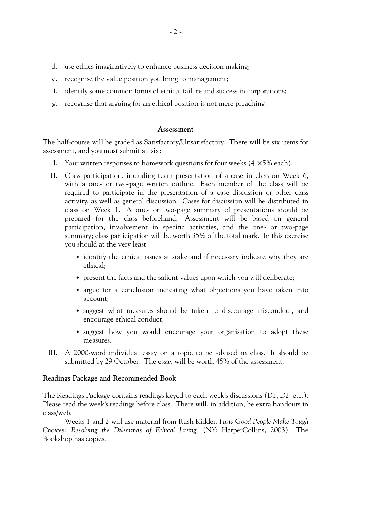- d. use ethics imaginatively to enhance business decision making;
- e. recognise the value position you bring to management;
- f. identify some common forms of ethical failure and success in corporations;
- g. recognise that arguing for an ethical position is not mere preaching.

#### **Assessment**

The half-course will be graded as Satisfactory/Unsatisfactory. There will be six items for assessment, and you must submit all six:

- I. Your written responses to homework questions for four weeks  $(4 \times 5\%$  each).
- II. Class participation, including team presentation of a case in class on Week 6, with a one- or two-page written outline. Each member of the class will be required to participate in the presentation of a case discussion or other class activity, as well as general discussion. Cases for discussion will be distributed in class on Week 1. A one- or two-page summary of presentations should be prepared for the class beforehand. Assessment will be based on general participation, involvement in specific activities, and the one- or two-page summary; class participation will be worth 35% of the total mark. In this exercise you should at the very least:
	- identify the ethical issues at stake and if necessary indicate why they are ethical;
	- present the facts and the salient values upon which you will deliberate;
	- argue for a conclusion indicating what objections you have taken into account;
	- suggest what measures should be taken to discourage misconduct, and encourage ethical conduct;
	- suggest how you would encourage your organisation to adopt these measures.
- III. A 2000-word individual essay on a topic to be advised in class. It should be submitted by 29 October. The essay will be worth 45% of the assessment.

### **Readings Package and Recommended Book**

The Readings Package contains readings keyed to each week's discussions (D1, D2, etc.). Please read the week's readings before class. There will, in addition, be extra handouts in class/web.

Weeks 1 and 2 will use material from Rush Kidder, *How Good People Make Tough Choices: Resolving the Dilemmas of Ethical Living,* (NY: HarperCollins, 2003). The Bookshop has copies.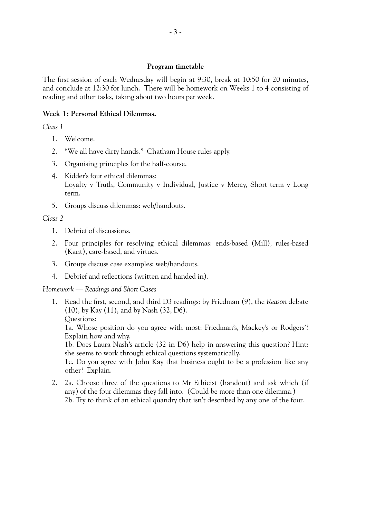#### **Program timetable**

The first session of each Wednesday will begin at 9:30, break at 10:50 for 20 minutes, and conclude at 12:30 for lunch. There will be homework on Weeks 1 to 4 consisting of reading and other tasks, taking about two hours per week.

### **Week 1: Personal Ethical Dilemmas.**

*Class 1*

- 1. Welcome.
- 2. "We all have dirty hands." Chatham House rules apply.
- 3. Organising principles for the half-course.
- 4. Kidder's four ethical dilemmas: Loyalty v Truth, Community v Individual, Justice v Mercy, Short term v Long term.
- 5. Groups discuss dilemmas: web/handouts.

*Class 2*

- 1. Debrief of discussions.
- 2. Four principles for resolving ethical dilemmas: ends-based (Mill), rules-based (Kant), care-based, and virtues.
- 3. Groups discuss case examples: web/handouts.
- 4. Debrief and reflections (written and handed in).

*Homework — Readings and Short Cases*

1. Read the first, second, and third D3 readings: by Friedman (9), the *Reason* debate (10), by Kay (11), and by Nash (32, D6). Questions:

1a. Whose position do you agree with most: Friedman's, Mackey's or Rodgers'? Explain how and why.

1b. Does Laura Nash's article (32 in D6) help in answering this question? Hint: she seems to work through ethical questions systematically.

1c. Do you agree with John Kay that business ought to be a profession like any other? Explain.

2. 2a. Choose three of the questions to Mr Ethicist (handout) and ask which (if any) of the four dilemmas they fall into. (Could be more than one dilemma.) 2b. Try to think of an ethical quandry that isn't described by any one of the four.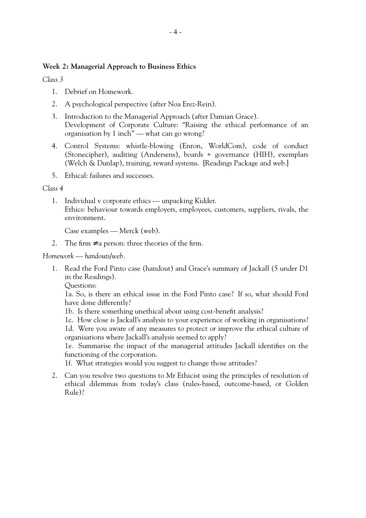## **Week 2: Managerial Approach to Business Ethics**

*Class 3*

- 1. Debrief on Homework.
- 2. A psychological perspective (after Noa Erez-Rein).
- 3. Introduction to the Managerial Approach (after Damian Grace). Development of Corporate Culture: "Raising the ethical performance of an organisation by 1 inch" — what can go wrong?
- 4. Control Systems: whistle-blowing (Enron, WorldCom), code of conduct (Stonecipher), auditing (Andersens), boards + governance (HIH), exemplars (Welch & Dunlap), training, reward systems. [Readings Package and web.]
- 5. Ethical: failures and successes.

### *Class 4*

1. Individual v corporate ethics — unpacking Kidder. Ethics: behaviour towards employers, employees, customers, suppliers, rivals, the environment.

Case examples — Merck (web).

2. The firm  $\neq$  a person: three theories of the firm.

*Homework — handouts/web.*

- 1. Read the Ford Pinto case (handout) and Grace's summary of Jackall (5 under D1 in the Readings).
	- Questions:

1a. So, is there an ethical issue in the Ford Pinto case? If so, what should Ford have done differently?

- 1b. Is there something unethical about using cost-benefit analysis?
- 1c. How close is Jackall's analysis to your experience of working in organisations?

1d. Were you aware of any measures to protect or improve the ethical culture of organisations where Jackall's analysis seemed to apply?

1e. Summarise the impact of the managerial attitudes Jackall identifies on the functioning of the corporation.

1f. What strategies would you suggest to change those attitudes?

2. Can you resolve two questions to Mr Ethicist using the principles of resolution of ethical dilemmas from today's class (rules-based, outcome-based, or Golden Rule)?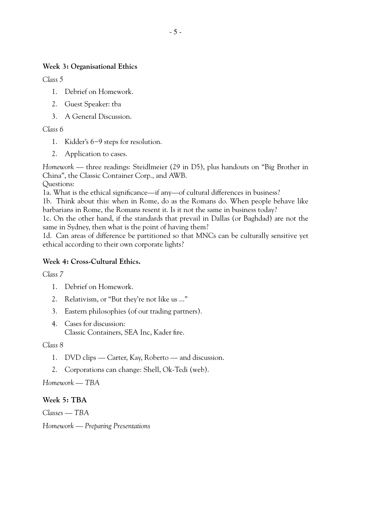# **Week 3: Organisational Ethics**

*Class 5*

- 1. Debrief on Homework.
- 2. Guest Speaker: tba
- 3. A General Discussion.

*Class 6*

- 1. Kidder's 6−9 steps for resolution.
- 2. Application to cases.

*Homework —* three readings: Steidlmeier (29 in D5), plus handouts on "Big Brother in China", the Classic Container Corp., and AWB. Questions:

1a. What is the ethical significance—if any—of cultural differences in business?

1b. Think about this: when in Rome, do as the Romans do. When people behave like barbarians in Rome, the Romans resent it. Is it not the same in business today?

1c. On the other hand, if the standards that prevail in Dallas (or Baghdad) are not the same in Sydney, then what is the point of having them?

1d. Can areas of difference be partitioned so that MNCs can be culturally sensitive yet ethical according to their own corporate lights?

# **Week 4: Cross-Cultural Ethics.**

*Class 7*

- 1. Debrief on Homework.
- 2. Relativism, or "But they're not like us ..."
- 3. Eastern philosophies (of our trading partners).
- 4. Cases for discussion: Classic Containers, SEA Inc, Kader fire.

*Class 8*

- 1. DVD clips Carter, Kay, Roberto and discussion.
- 2. Corporations can change: Shell, Ok-Tedi (web).

*Homework — TBA*

# **Week 5: TBA**

*Classes — TBA*

*Homework — Preparing Presentations*